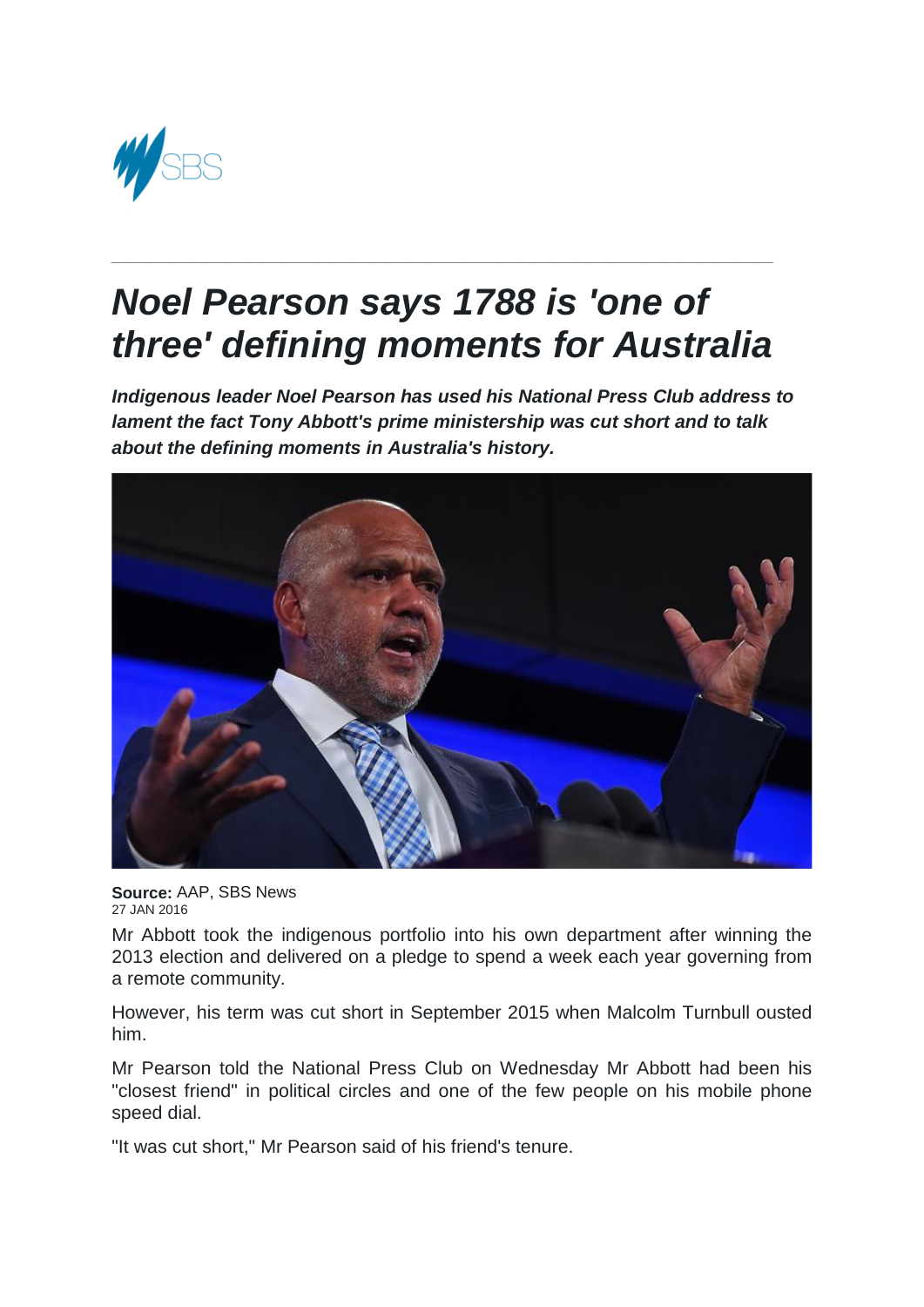

## *Noel Pearson says 1788 is 'one of three' defining moments for Australia*

*\_\_\_\_\_\_\_\_\_\_\_\_\_\_\_\_\_\_\_\_\_\_\_\_\_\_\_\_\_\_\_\_\_\_\_\_\_\_\_\_\_\_\_\_\_\_\_\_\_\_\_\_\_\_\_\_\_\_\_\_\_\_\_\_\_\_\_\_\_\_\_\_\_\_\_\_\_\_\_\_\_\_\_\_\_\_\_\_\_\_\_\_\_\_\_\_*

*Indigenous leader Noel Pearson has used his National Press Club address to lament the fact Tony Abbott's prime ministership was cut short and to talk about the defining moments in Australia's history.*



**Source:** AAP, SBS News 27 JAN 2016

Mr Abbott took the indigenous portfolio into his own department after winning the 2013 election and delivered on a pledge to spend a week each year governing from a remote community.

However, his term was cut short in September 2015 when Malcolm Turnbull ousted him.

Mr Pearson told the National Press Club on Wednesday Mr Abbott had been his "closest friend" in political circles and one of the few people on his mobile phone speed dial.

"It was cut short," Mr Pearson said of his friend's tenure.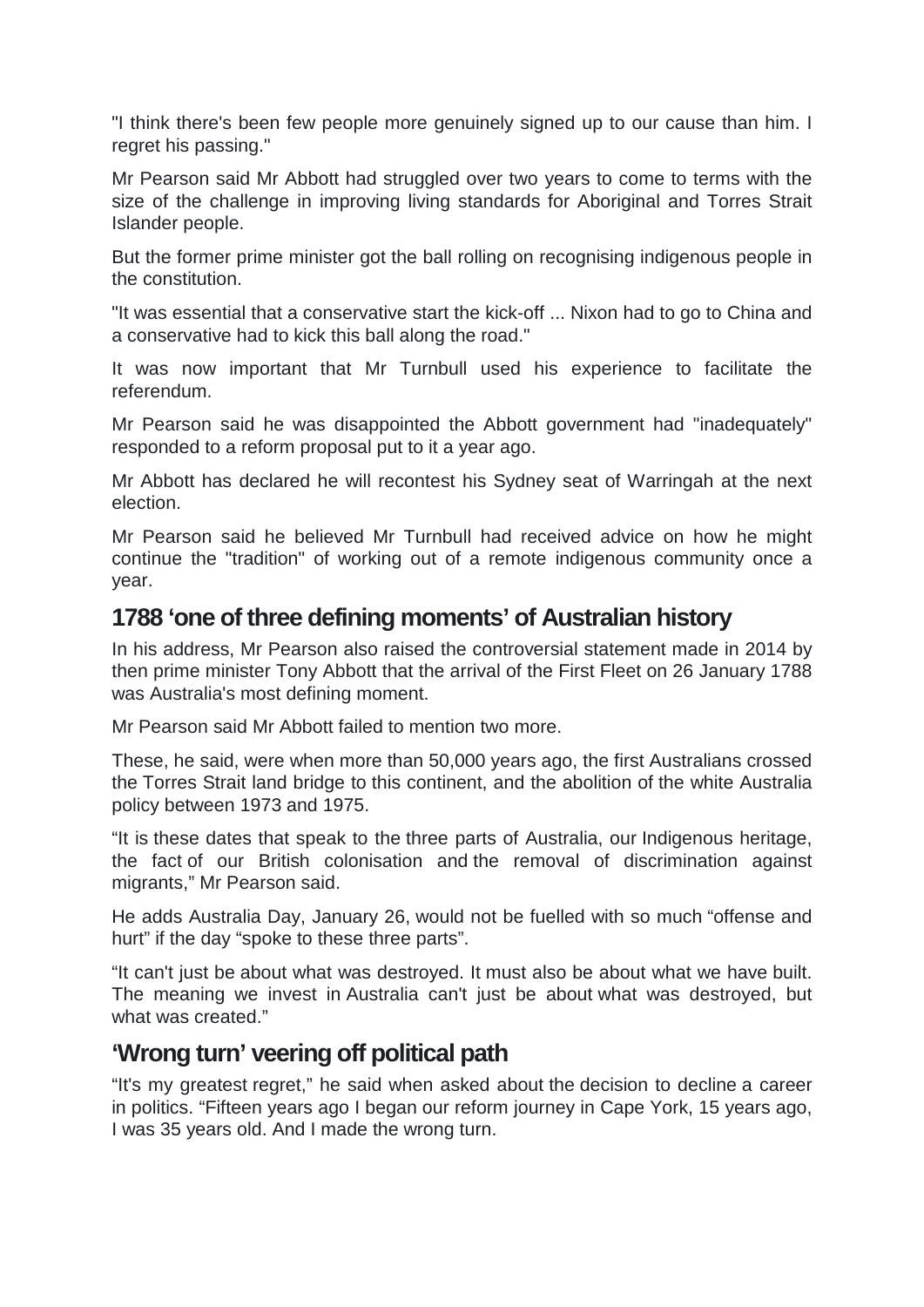"I think there's been few people more genuinely signed up to our cause than him. I regret his passing."

Mr Pearson said Mr Abbott had struggled over two years to come to terms with the size of the challenge in improving living standards for Aboriginal and Torres Strait Islander people.

But the former prime minister got the ball rolling on recognising indigenous people in the constitution.

"It was essential that a conservative start the kick-off ... Nixon had to go to China and a conservative had to kick this ball along the road."

It was now important that Mr Turnbull used his experience to facilitate the referendum.

Mr Pearson said he was disappointed the Abbott government had "inadequately" responded to a reform proposal put to it a year ago.

Mr Abbott has declared he will recontest his Sydney seat of Warringah at the next election.

Mr Pearson said he believed Mr Turnbull had received advice on how he might continue the "tradition" of working out of a remote indigenous community once a year.

## **1788 'one of three defining moments' of Australian history**

In his address, Mr Pearson also raised the controversial statement made in 2014 by then prime minister Tony Abbott that the arrival of the First Fleet on 26 January 1788 was Australia's most defining moment.

Mr Pearson said Mr Abbott failed to mention two more.

These, he said, were when more than 50,000 years ago, the first Australians crossed the Torres Strait land bridge to this continent, and the abolition of the white Australia policy between 1973 and 1975.

"It is these dates that speak to the three parts of Australia, our Indigenous heritage, the fact of our British colonisation and the removal of discrimination against migrants," Mr Pearson said.

He adds Australia Day, January 26, would not be fuelled with so much "offense and hurt" if the day "spoke to these three parts".

"It can't just be about what was destroyed. It must also be about what we have built. The meaning we invest in Australia can't just be about what was destroyed, but what was created."

## **'Wrong turn' veering off political path**

"It's my greatest regret," he said when asked about the decision to decline a career in politics. "Fifteen years ago I began our reform journey in Cape York, 15 years ago, I was 35 years old. And I made the wrong turn.